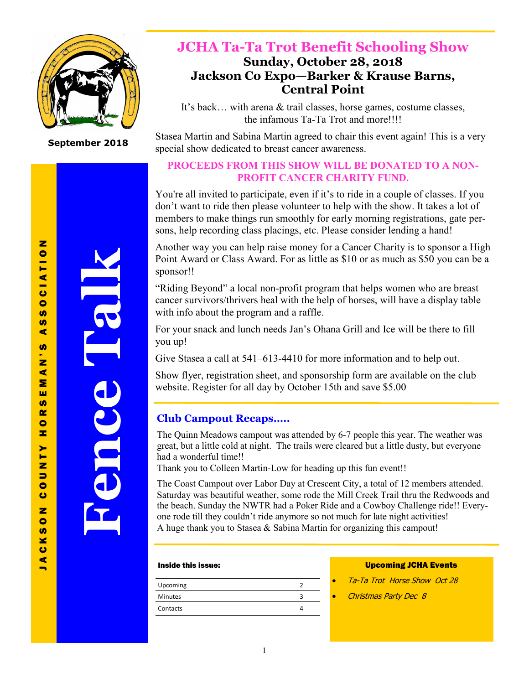

**September 2018**

**Fence Talk**

# **JCHA Ta-Ta Trot Benefit Schooling Show Sunday, October 28, 2018 Jackson Co Expo—Barker & Krause Barns,**

# **Central Point**

It's back… with arena & trail classes, horse games, costume classes, the infamous Ta-Ta Trot and more!!!!

Stasea Martin and Sabina Martin agreed to chair this event again! This is a very special show dedicated to breast cancer awareness.

## **PROCEEDS FROM THIS SHOW WILL BE DONATED TO A NON-PROFIT CANCER CHARITY FUND.**

You're all invited to participate, even if it's to ride in a couple of classes. If you don't want to ride then please volunteer to help with the show. It takes a lot of members to make things run smoothly for early morning registrations, gate persons, help recording class placings, etc. Please consider lending a hand!

Another way you can help raise money for a Cancer Charity is to sponsor a High Point Award or Class Award. For as little as \$10 or as much as \$50 you can be a sponsor!!

"Riding Beyond" a local non-profit program that helps women who are breast cancer survivors/thrivers heal with the help of horses, will have a display table with info about the program and a raffle.

For your snack and lunch needs Jan's Ohana Grill and Ice will be there to fill you up!

Give Stasea a call at 541–613-4410 for more information and to help out.

Show flyer, registration sheet, and sponsorship form are available on the club website. Register for all day by October 15th and save \$5.00

## **Club Campout Recaps…..**

The Quinn Meadows campout was attended by 6-7 people this year. The weather was great, but a little cold at night. The trails were cleared but a little dusty, but everyone had a wonderful time!!

Thank you to Colleen Martin-Low for heading up this fun event!!

The Coast Campout over Labor Day at Crescent City, a total of 12 members attended. Saturday was beautiful weather, some rode the Mill Creek Trail thru the Redwoods and the beach. Sunday the NWTR had a Poker Ride and a Cowboy Challenge ride!! Everyone rode till they couldn't ride anymore so not much for late night activities! A huge thank you to Stasea & Sabina Martin for organizing this campout!

### Inside this issue:

| Upcoming       |  |
|----------------|--|
| <b>Minutes</b> |  |
| Contacts       |  |

### Upcoming JCHA Events

- Ta-Ta Trot Horse Show Oct 28
- Christmas Party Dec 8

 $\blacksquare$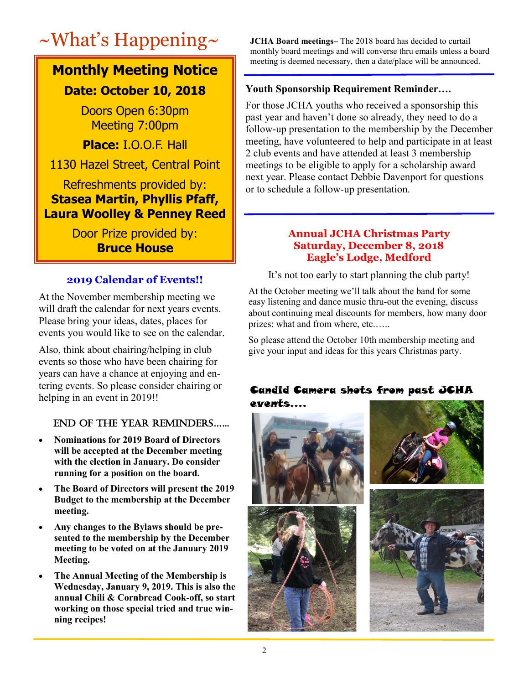# ~What's Happening~ **JCHA Board meetings–** The 2018 board has decided to curtail

# **Monthly Meeting Notice**

# **Date: October 10, 2018**

Doors Open 6:30pm Meeting 7:00pm

**Place:** I.O.O.F. Hall

1130 Hazel Street, Central Point

# Refreshments provided by: **Stasea Martin, Phyllis Pfaff, Laura Woolley & Penney Reed**

Door Prize provided by: **Bruce House**

# **2019 Calendar of Events!!**

At the November membership meeting we will draft the calendar for next years events. Please bring your ideas, dates, places for events you would like to see on the calendar.

Also, think about chairing/helping in club events so those who have been chairing for years can have a chance at enjoying and entering events. So please consider chairing or helping in an event in 2019!!

# End of thE YEar rEMIndErS…...

- **Nominations for 2019 Board of Directors will be accepted at the December meeting with the election in January. Do consider running for a position on the board.**
- **The Board of Directors will present the 2019 Budget to the membership at the December meeting.**
- **Any changes to the Bylaws should be presented to the membership by the December meeting to be voted on at the January 2019 Meeting.**
- **The Annual Meeting of the Membership is Wednesday, January 9, 2019. This is also the annual Chili & Cornbread Cook-off, so start working on those special tried and true winning recipes!**

monthly board meetings and will converse thru emails unless a board meeting is deemed necessary, then a date/place will be announced.

## **Youth Sponsorship Requirement Reminder….**

For those JCHA youths who received a sponsorship this past year and haven't done so already, they need to do a follow-up presentation to the membership by the December meeting, have volunteered to help and participate in at least 2 club events and have attended at least 3 membership meetings to be eligible to apply for a scholarship award next year. Please contact Debbie Davenport for questions or to schedule a follow-up presentation.

## **Annual JCHA Christmas Party Saturday, December 8, 2018 Eagle's Lodge, Medford**

It's not too early to start planning the club party!

At the October meeting we'll talk about the band for some easy listening and dance music thru-out the evening, discuss about continuing meal discounts for members, how many door prizes: what and from where, etc......

So please attend the October 10th membership meeting and give your input and ideas for this years Christmas party.

### Candid Camera shots from past JCHA events….

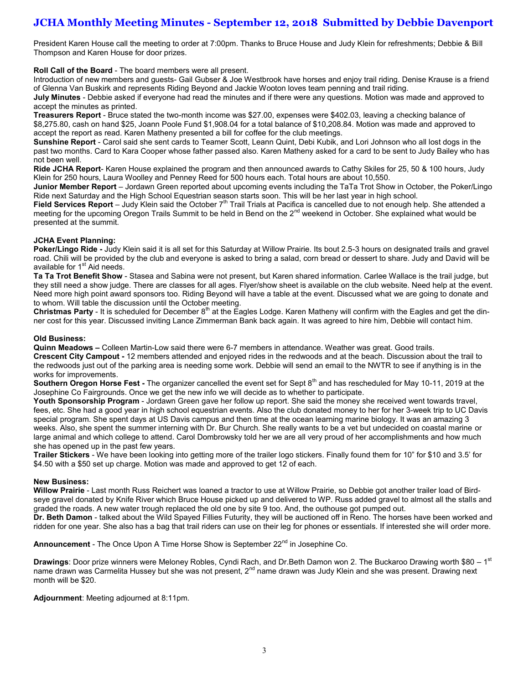# **JCHA Monthly Meeting Minutes - September 12, 2018 Submitted by Debbie Davenport**

President Karen House call the meeting to order at 7:00pm. Thanks to Bruce House and Judy Klein for refreshments; Debbie & Bill Thompson and Karen House for door prizes.

**Roll Call of the Board** - The board members were all present.

Introduction of new members and guests- Gail Gubser & Joe Westbrook have horses and enjoy trail riding. Denise Krause is a friend of Glenna Van Buskirk and represents Riding Beyond and Jackie Wooton loves team penning and trail riding.

**July Minutes** - Debbie asked if everyone had read the minutes and if there were any questions. Motion was made and approved to accept the minutes as printed.

**Treasurers Report** - Bruce stated the two-month income was \$27.00, expenses were \$402.03, leaving a checking balance of \$8,275.80, cash on hand \$25, Joann Poole Fund \$1,908.04 for a total balance of \$10,208.84. Motion was made and approved to accept the report as read. Karen Matheny presented a bill for coffee for the club meetings.

**Sunshine Report** - Carol said she sent cards to Teamer Scott, Leann Quint, Debi Kubik, and Lori Johnson who all lost dogs in the past two months. Card to Kara Cooper whose father passed also. Karen Matheny asked for a card to be sent to Judy Bailey who has not been well.

**Ride JCHA Report**- Karen House explained the program and then announced awards to Cathy Skiles for 25, 50 & 100 hours, Judy Klein for 250 hours, Laura Woolley and Penney Reed for 500 hours each. Total hours are about 10,550.

**Junior Member Report** – Jordawn Green reported about upcoming events including the TaTa Trot Show in October, the Poker/Lingo Ride next Saturday and the High School Equestrian season starts soon. This will be her last year in high school.

Field Services Report – Judy Klein said the October 7<sup>th</sup> Trail Trials at Pacifica is cancelled due to not enough help. She attended a meeting for the upcoming Oregon Trails Summit to be held in Bend on the 2<sup>nd</sup> weekend in October. She explained what would be presented at the summit.

#### **JCHA Event Planning:**

**Poker/Lingo Ride -** Judy Klein said it is all set for this Saturday at Willow Prairie. Its bout 2.5-3 hours on designated trails and gravel road. Chili will be provided by the club and everyone is asked to bring a salad, corn bread or dessert to share. Judy and David will be available for  $1<sup>st</sup>$  Aid needs.

**Ta Ta Trot Benefit Show** - Stasea and Sabina were not present, but Karen shared information. Carlee Wallace is the trail judge, but they still need a show judge. There are classes for all ages. Flyer/show sheet is available on the club website. Need help at the event. Need more high point award sponsors too. Riding Beyond will have a table at the event. Discussed what we are going to donate and to whom. Will table the discussion until the October meeting.

**Christmas Party** - It is scheduled for December 8<sup>th</sup> at the Eagles Lodge. Karen Matheny will confirm with the Eagles and get the dinner cost for this year. Discussed inviting Lance Zimmerman Bank back again. It was agreed to hire him, Debbie will contact him.

#### **Old Business:**

**Quinn Meadows –** Colleen Martin-Low said there were 6-7 members in attendance. Weather was great. Good trails. **Crescent City Campout -** 12 members attended and enjoyed rides in the redwoods and at the beach. Discussion about the trail to the redwoods just out of the parking area is needing some work. Debbie will send an email to the NWTR to see if anything is in the works for improvements.

**Southern Oregon Horse Fest -** The organizer cancelled the event set for Sept 8<sup>th</sup> and has rescheduled for May 10-11, 2019 at the Josephine Co Fairgrounds. Once we get the new info we will decide as to whether to participate.

**Youth Sponsorship Program** - Jordawn Green gave her follow up report. She said the money she received went towards travel, fees, etc. She had a good year in high school equestrian events. Also the club donated money to her for her 3-week trip to UC Davis special program. She spent days at US Davis campus and then time at the ocean learning marine biology. It was an amazing 3 weeks. Also, she spent the summer interning with Dr. Bur Church. She really wants to be a vet but undecided on coastal marine or large animal and which college to attend. Carol Dombrowsky told her we are all very proud of her accomplishments and how much she has opened up in the past few years.

**Trailer Stickers** - We have been looking into getting more of the trailer logo stickers. Finally found them for 10" for \$10 and 3.5' for \$4.50 with a \$50 set up charge. Motion was made and approved to get 12 of each.

#### **New Business:**

**Willow Prairie** - Last month Russ Reichert was loaned a tractor to use at Willow Prairie, so Debbie got another trailer load of Birdseye gravel donated by Knife River which Bruce House picked up and delivered to WP. Russ added gravel to almost all the stalls and graded the roads. A new water trough replaced the old one by site 9 too. And, the outhouse got pumped out.

**Dr. Beth Damon** - talked about the Wild Spayed Fillies Futurity, they will be auctioned off in Reno. The horses have been worked and ridden for one year. She also has a bag that trail riders can use on their leg for phones or essentials. If interested she will order more.

**Announcement** - The Once Upon A Time Horse Show is September 22nd in Josephine Co.

**Drawings**: Door prize winners were Meloney Robles, Cyndi Rach, and Dr.Beth Damon won 2. The Buckaroo Drawing worth \$80 – 1<sup>st</sup> name drawn was Carmelita Hussey but she was not present, 2<sup>nd</sup> name drawn was Judy Klein and she was present. Drawing next month will be \$20.

**Adjournment**: Meeting adjourned at 8:11pm.